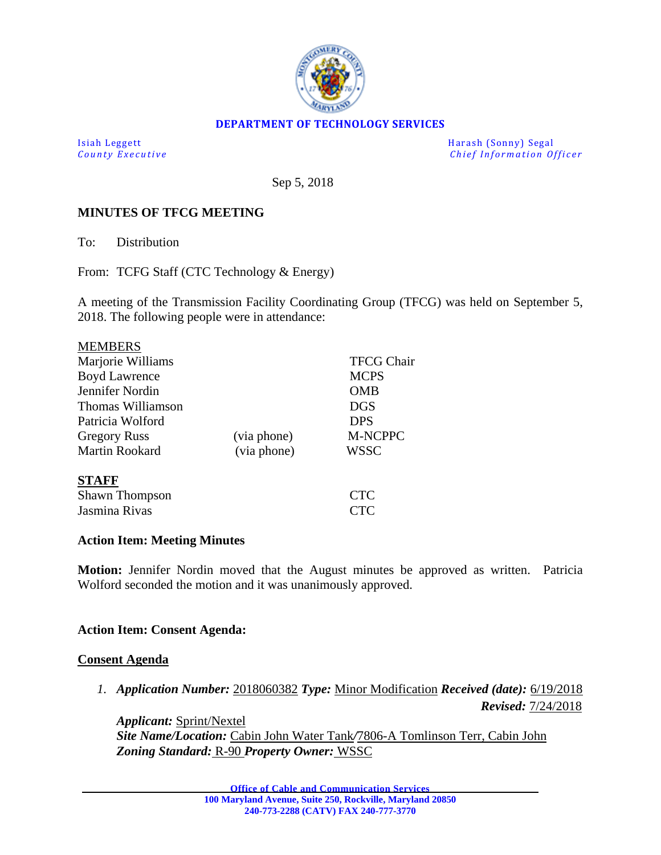

### **DEPARTMENT OF TECHNOLOGY SERVICES**

Isiah Leggett Harash (Sonny) Segal *Chief Information Officer* 

Sep 5, 2018

### **MINUTES OF TFCG MEETING**

To: Distribution

From: TCFG Staff (CTC Technology & Energy)

A meeting of the Transmission Facility Coordinating Group (TFCG) was held on September 5, 2018. The following people were in attendance:

| <b>MEMBERS</b>        |             |                   |
|-----------------------|-------------|-------------------|
| Marjorie Williams     |             | <b>TFCG Chair</b> |
| <b>Boyd Lawrence</b>  |             | <b>MCPS</b>       |
| Jennifer Nordin       |             | OMB               |
| Thomas Williamson     |             | <b>DGS</b>        |
| Patricia Wolford      |             | <b>DPS</b>        |
| <b>Gregory Russ</b>   | (via phone) | M-NCPPC           |
| <b>Martin Rookard</b> | (via phone) | <b>WSSC</b>       |
| <b>STAFF</b>          |             |                   |
| <b>Shawn Thompson</b> |             | <b>CTC</b>        |
| Jasmina Rivas         |             | CTC               |

### **Action Item: Meeting Minutes**

**Motion:** Jennifer Nordin moved that the August minutes be approved as written. Patricia Wolford seconded the motion and it was unanimously approved.

### **Action Item: Consent Agenda:**

#### **Consent Agenda**

*1. Application Number:* 2018060382 *Type:* Minor Modification *Received (date):* 6/19/2018 *Revised:* 7/24/2018

*Applicant:* Sprint/Nextel *Site Name/Location:* Cabin John Water Tank*/*7806-A Tomlinson Terr, Cabin John *Zoning Standard:* R-90 *Property Owner:* WSSC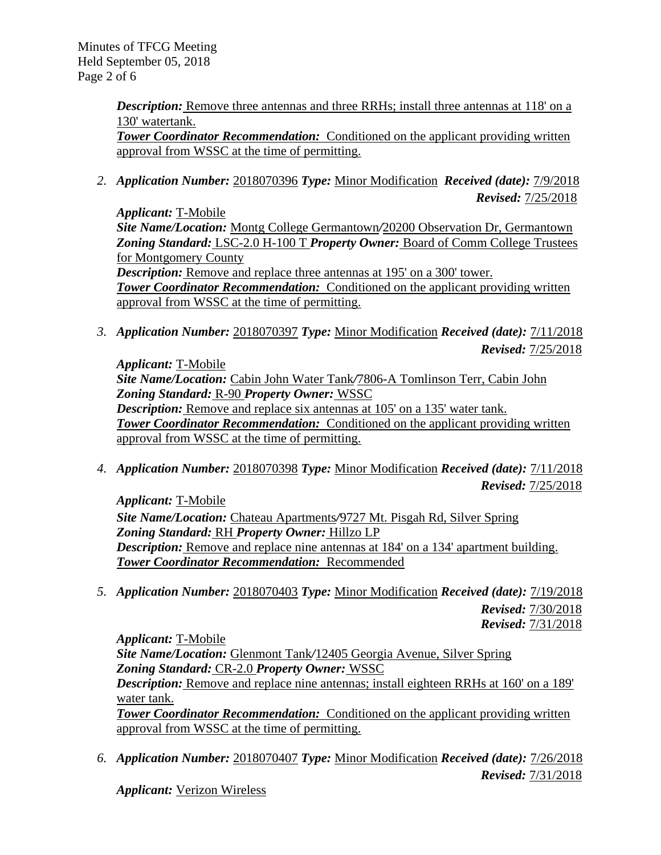Minutes of TFCG Meeting Held September 05, 2018 Page 2 of 6

> *Description:* Remove three antennas and three RRHs; install three antennas at 118' on a 130' watertank.

> **Tower Coordinator Recommendation:** Conditioned on the applicant providing written approval from WSSC at the time of permitting.

*2. Application Number:* 2018070396 *Type:* Minor Modification *Received (date):* 7/9/2018 *Revised:* 7/25/2018

*Applicant:* T-Mobile *Site Name/Location:* Montg College Germantown*/*20200 Observation Dr, Germantown *Zoning Standard:* LSC-2.0 H-100 T *Property Owner:* Board of Comm College Trustees for Montgomery County

*Description:* Remove and replace three antennas at 195' on a 300' tower. **Tower Coordinator Recommendation:** Conditioned on the applicant providing written approval from WSSC at the time of permitting.

*3. Application Number:* 2018070397 *Type:* Minor Modification *Received (date):* 7/11/2018 *Revised:* 7/25/2018

*Applicant:* T-Mobile *Site Name/Location:* Cabin John Water Tank*/*7806-A Tomlinson Terr, Cabin John *Zoning Standard:* R-90 *Property Owner:* WSSC *Description:* Remove and replace six antennas at 105' on a 135' water tank. **Tower Coordinator Recommendation:** Conditioned on the applicant providing written approval from WSSC at the time of permitting.

*4. Application Number:* 2018070398 *Type:* Minor Modification *Received (date):* 7/11/2018 *Revised:* 7/25/2018

*Applicant:* T-Mobile

*Site Name/Location:* Chateau Apartments*/*9727 Mt. Pisgah Rd, Silver Spring *Zoning Standard:* RH *Property Owner:* Hillzo LP *Description:* Remove and replace nine antennas at 184' on a 134' apartment building. *Tower Coordinator Recommendation:* Recommended

*5. Application Number:* 2018070403 *Type:* Minor Modification *Received (date):* 7/19/2018 *Revised:* 7/30/2018 *Revised:* 7/31/2018

*Applicant:* T-Mobile

*Site Name/Location:* Glenmont Tank*/*12405 Georgia Avenue, Silver Spring *Zoning Standard:* CR-2.0 *Property Owner:* WSSC

*Description:* Remove and replace nine antennas; install eighteen RRHs at 160' on a 189' water tank.

*Tower Coordinator Recommendation:* Conditioned on the applicant providing written approval from WSSC at the time of permitting.

*6. Application Number:* 2018070407 *Type:* Minor Modification *Received (date):* 7/26/2018 *Revised:* 7/31/2018

*Applicant:* Verizon Wireless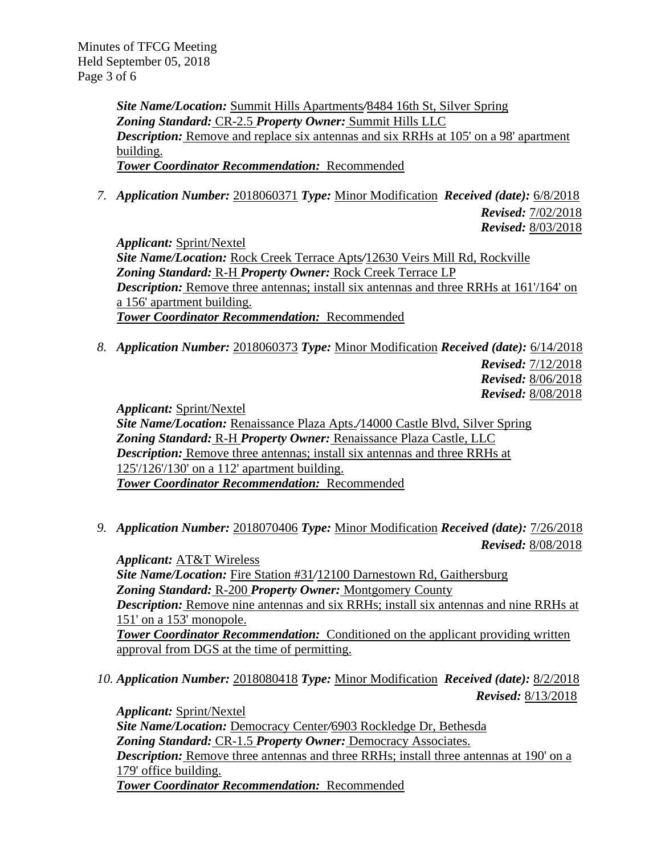*Site Name/Location:* Summit Hills Apartments*/*8484 16th St, Silver Spring *Zoning Standard:* CR-2.5 *Property Owner:* Summit Hills LLC *Description:* Remove and replace six antennas and six RRHs at 105' on a 98' apartment building. *Tower Coordinator Recommendation:* Recommended

*7. Application Number:* 2018060371 *Type:* Minor Modification *Received (date):* 6/8/2018

*Revised:* 7/02/2018 *Revised:* 8/03/2018

*Revised:* 8/13/2018

*Applicant:* Sprint/Nextel *Site Name/Location:* Rock Creek Terrace Apts*/*12630 Veirs Mill Rd, Rockville *Zoning Standard:* R-H *Property Owner:* Rock Creek Terrace LP *Description:* Remove three antennas; install six antennas and three RRHs at 161/164' on a 156' apartment building. *Tower Coordinator Recommendation:* Recommended

*8. Application Number:* 2018060373 *Type:* Minor Modification *Received (date):* 6/14/2018 *Revised:* 7/12/2018 *Revised:* 8/06/2018 *Revised:* 8/08/2018

*Applicant:* Sprint/Nextel

*Site Name/Location:* Renaissance Plaza Apts.*/*14000 Castle Blvd, Silver Spring *Zoning Standard:* R-H *Property Owner:* Renaissance Plaza Castle, LLC *Description:* Remove three antennas; install six antennas and three RRHs at 125'/126'/130' on a 112' apartment building. *Tower Coordinator Recommendation:* Recommended

*9. Application Number:* 2018070406 *Type:* Minor Modification *Received (date):* 7/26/2018 *Revised:* 8/08/2018

*Applicant:* AT&T Wireless *Site Name/Location:* Fire Station #31*/*12100 Darnestown Rd, Gaithersburg *Zoning Standard:* R-200 *Property Owner:* Montgomery County *Description:* Remove nine antennas and six RRHs; install six antennas and nine RRHs at 151' on a 153' monopole. *Tower Coordinator Recommendation:* Conditioned on the applicant providing written approval from DGS at the time of permitting.

*10. Application Number:* 2018080418 *Type:* Minor Modification *Received (date):* 8/2/2018

*Applicant:* Sprint/Nextel *Site Name/Location:* Democracy Center*/*6903 Rockledge Dr, Bethesda *Zoning Standard:* CR-1.5 *Property Owner:* Democracy Associates. *Description:* Remove three antennas and three RRHs; install three antennas at 190' on a 179' office building. *Tower Coordinator Recommendation:* Recommended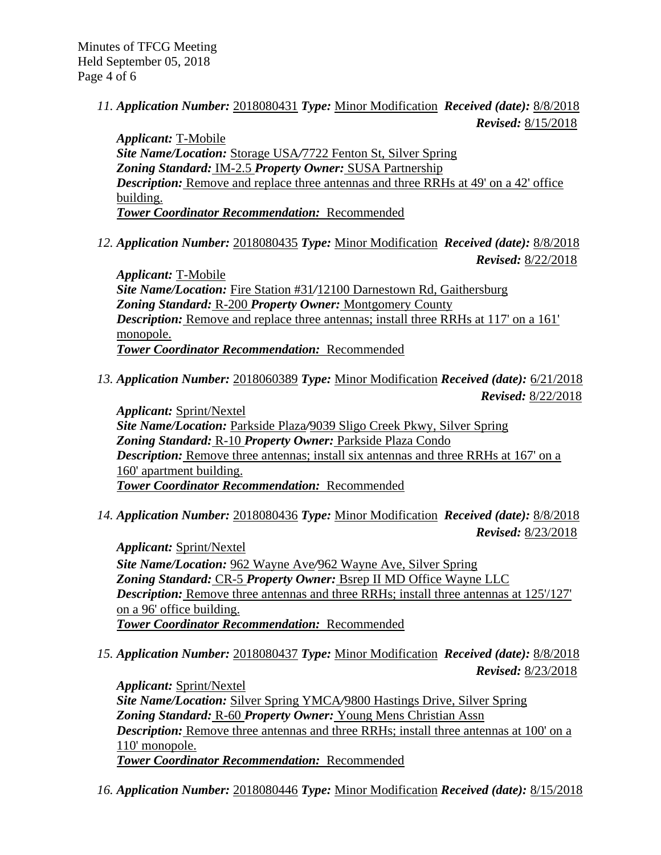*11. Application Number:* 2018080431 *Type:* Minor Modification *Received (date):* 8/8/2018 *Revised:* 8/15/2018

*Applicant:* T-Mobile *Site Name/Location:* Storage USA*/*7722 Fenton St, Silver Spring *Zoning Standard:* IM-2.5 *Property Owner:* SUSA Partnership *Description:* Remove and replace three antennas and three RRHs at 49' on a 42' office building. *Tower Coordinator Recommendation:* Recommended

*12. Application Number:* 2018080435 *Type:* Minor Modification *Received (date):* 8/8/2018 *Revised:* 8/22/2018

*Applicant:* T-Mobile *Site Name/Location:* Fire Station #31*/*12100 Darnestown Rd, Gaithersburg *Zoning Standard:* R-200 *Property Owner:* Montgomery County *Description:* Remove and replace three antennas; install three RRHs at 117' on a 161' monopole. *Tower Coordinator Recommendation:* Recommended

*13. Application Number:* 2018060389 *Type:* Minor Modification *Received (date):* 6/21/2018 *Revised:* 8/22/2018

*Applicant:* Sprint/Nextel *Site Name/Location:* Parkside Plaza*/*9039 Sligo Creek Pkwy, Silver Spring *Zoning Standard:* R-10 *Property Owner:* Parkside Plaza Condo *Description:* Remove three antennas; install six antennas and three RRHs at 167' on a 160' apartment building. *Tower Coordinator Recommendation:* Recommended

*14. Application Number:* 2018080436 *Type:* Minor Modification *Received (date):* 8/8/2018 *Revised:* 8/23/2018

*Applicant:* Sprint/Nextel *Site Name/Location:* 962 Wayne Ave*/*962 Wayne Ave, Silver Spring *Zoning Standard:* CR-5 *Property Owner:* Bsrep II MD Office Wayne LLC **Description:** Remove three antennas and three RRHs; install three antennas at 125'/127' on a 96' office building. *Tower Coordinator Recommendation:* Recommended

*15. Application Number:* 2018080437 *Type:* Minor Modification *Received (date):* 8/8/2018 *Revised:* 8/23/2018

*Applicant:* Sprint/Nextel *Site Name/Location:* Silver Spring YMCA*/*9800 Hastings Drive, Silver Spring *Zoning Standard:* R-60 *Property Owner:* Young Mens Christian Assn *Description:* Remove three antennas and three RRHs; install three antennas at 100' on a 110' monopole. *Tower Coordinator Recommendation:* Recommended

*16. Application Number:* 2018080446 *Type:* Minor Modification *Received (date):* 8/15/2018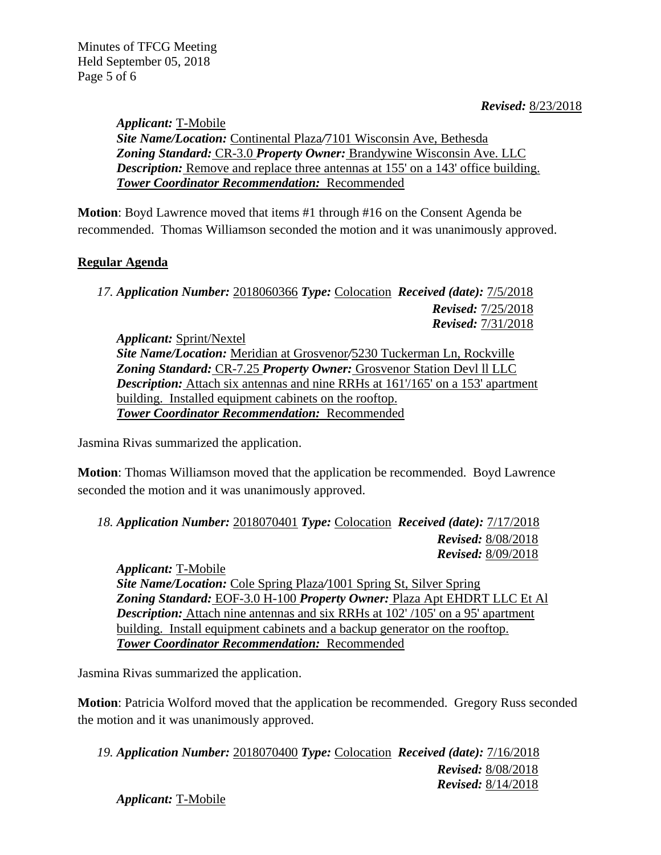*Applicant:* T-Mobile *Site Name/Location:* Continental Plaza*/*7101 Wisconsin Ave, Bethesda *Zoning Standard:* CR-3.0 *Property Owner:* Brandywine Wisconsin Ave. LLC *Description:* Remove and replace three antennas at 155' on a 143' office building. *Tower Coordinator Recommendation:* Recommended

**Motion**: Boyd Lawrence moved that items #1 through #16 on the Consent Agenda be recommended. Thomas Williamson seconded the motion and it was unanimously approved.

# **Regular Agenda**

*17. Application Number:* 2018060366 *Type:* Colocation *Received (date):* 7/5/2018 *Revised:* 7/25/2018 *Revised:* 7/31/2018

*Applicant:* Sprint/Nextel *Site Name/Location:* Meridian at Grosvenor*/*5230 Tuckerman Ln, Rockville *Zoning Standard:* CR-7.25 *Property Owner:* Grosvenor Station Devl ll LLC *Description:* Attach six antennas and nine RRHs at 161 $/165'$  on a 153' apartment building. Installed equipment cabinets on the rooftop. *Tower Coordinator Recommendation:* Recommended

Jasmina Rivas summarized the application.

**Motion**: Thomas Williamson moved that the application be recommended. Boyd Lawrence seconded the motion and it was unanimously approved.

*18. Application Number:* 2018070401 *Type:* Colocation *Received (date):* 7/17/2018 *Revised:* 8/08/2018 *Revised:* 8/09/2018

*Applicant:* T-Mobile *Site Name/Location:* Cole Spring Plaza*/*1001 Spring St, Silver Spring *Zoning Standard:* EOF-3.0 H-100 *Property Owner:* Plaza Apt EHDRT LLC Et Al *Description:* Attach nine antennas and six RRHs at 102'/105' on a 95' apartment building. Install equipment cabinets and a backup generator on the rooftop. *Tower Coordinator Recommendation:* Recommended

Jasmina Rivas summarized the application.

**Motion**: Patricia Wolford moved that the application be recommended. Gregory Russ seconded the motion and it was unanimously approved.

*19. Application Number:* 2018070400 *Type:* Colocation *Received (date):* 7/16/2018 *Revised:* 8/08/2018 *Revised:* 8/14/2018

*Applicant:* T-Mobile